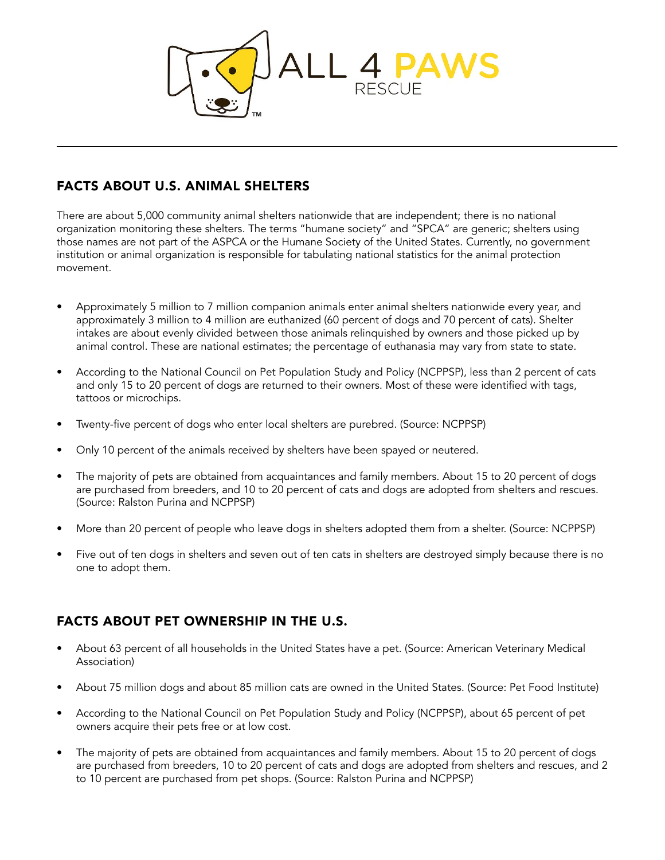

## FACTS ABOUT U.S. ANIMAL SHELTERS

There are about 5,000 community animal shelters nationwide that are independent; there is no national organization monitoring these shelters. The terms "humane society" and "SPCA" are generic; shelters using those names are not part of the ASPCA or the Humane Society of the United States. Currently, no government institution or animal organization is responsible for tabulating national statistics for the animal protection movement.

- Approximately 5 million to 7 million companion animals enter animal shelters nationwide every year, and approximately 3 million to 4 million are euthanized (60 percent of dogs and 70 percent of cats). Shelter intakes are about evenly divided between those animals relinquished by owners and those picked up by animal control. These are national estimates; the percentage of euthanasia may vary from state to state.
- According to the National Council on Pet Population Study and Policy (NCPPSP), less than 2 percent of cats and only 15 to 20 percent of dogs are returned to their owners. Most of these were identified with tags, tattoos or microchips.
- Twenty-five percent of dogs who enter local shelters are purebred. (Source: NCPPSP)
- Only 10 percent of the animals received by shelters have been spayed or neutered.
- The majority of pets are obtained from acquaintances and family members. About 15 to 20 percent of dogs are purchased from breeders, and 10 to 20 percent of cats and dogs are adopted from shelters and rescues. (Source: Ralston Purina and NCPPSP)
- More than 20 percent of people who leave dogs in shelters adopted them from a shelter. (Source: NCPPSP)
- Five out of ten dogs in shelters and seven out of ten cats in shelters are destroyed simply because there is no one to adopt them.

## FACTS ABOUT PET OWNERSHIP IN THE U.S.

- About 63 percent of all households in the United States have a pet. (Source: American Veterinary Medical Association)
- About 75 million dogs and about 85 million cats are owned in the United States. (Source: Pet Food Institute)
- According to the National Council on Pet Population Study and Policy (NCPPSP), about 65 percent of pet owners acquire their pets free or at low cost.
- The majority of pets are obtained from acquaintances and family members. About 15 to 20 percent of dogs are purchased from breeders, 10 to 20 percent of cats and dogs are adopted from shelters and rescues, and 2 to 10 percent are purchased from pet shops. (Source: Ralston Purina and NCPPSP)